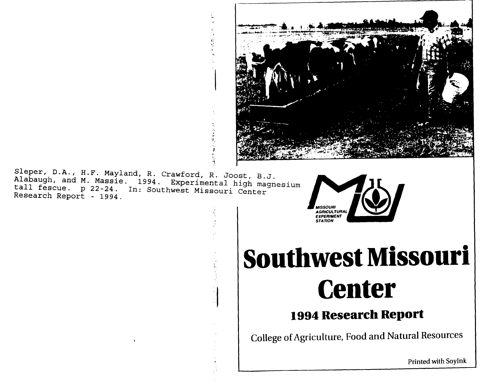

Sleper, D.A., H.F. Mayland, R. Crawford, R. Joost, B.J. Alabaugh, and M. Massie. 1994. Experimental high magnesium tall fescue. p 22-24. In: Southwest Missouri Center Research Report - 1994.

i.<br>S

システィー



## **Southwest Missouri Center**

## **1994 Research Report**

College of Agriculture, Food and Natural Resources

Printed with Soylnk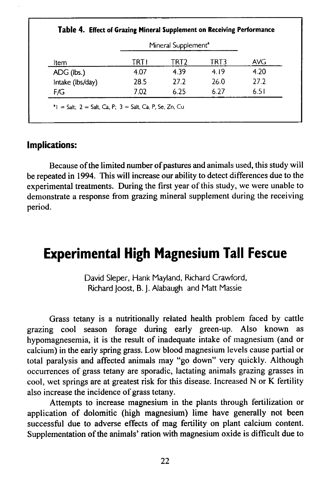|                  | Mineral Supplement <sup>a</sup> |      |      |            |
|------------------|---------------------------------|------|------|------------|
| Item             | TRTI                            | TRT2 | TRT3 | <b>AVG</b> |
| ADG (lbs.)       | 4.07                            | 4.39 | 4.19 | 4.20       |
| Intake (lbs/day) | 28.5                            | 27.2 | 26.0 | 27.2       |
| F/G              | 7.02                            | 6.25 | 6.27 | 6.51       |

## **Implications:**

Because of the limited number of pastures and animals used, this study will be repeated in 1994. This will increase our ability to detect differences due to the experimental treatments. During the first year of this study, we were unable to demonstrate a response from grazing mineral supplement during the receiving period.

## **Experimental High Magnesium Tall Fescue**

David Sleper, Hank Mayland, Richard Crawford, Richard Joost, B. J. Alabaugh and Matt Massie

Grass tetany is a nutritionally related health problem faced by cattle grazing cool season forage during early green-up. Also known as hypomagnesemia, it is the result of inadequate intake of magnesium (and or calcium) in the early spring grass. Low blood magnesium levels cause partial or total paralysis and affected animals may "go down" very quickly. Although occurrences of grass tetany are sporadic, lactating animals grazing grasses in cool, wet springs are at greatest risk for this disease. Increased N or K fertility also increase the incidence of grass tetany.

Attempts to increase magnesium in the plants through fertilization or application of dolomitic (high magnesium) lime have generally not been successful due to adverse effects of mag fertility on plant calcium content. Supplementation of the animals' ration with magnesium oxide is difficult due to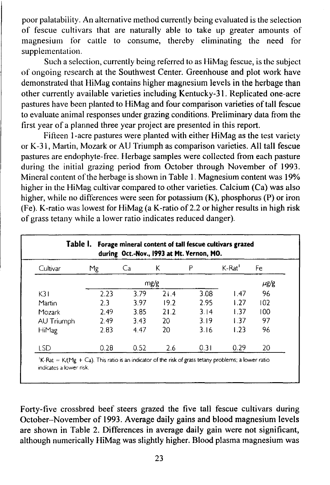poor palatability. An alternative method currently being evaluated is the selection of fescue cultivars that are naturally able to take up greater amounts of magnesium for cattle to consume, thereby eliminating the need for supplementation.

Such a selection, currently being referred to as HiMag fescue, is the subject of ongoing research at the Southwest Center. Greenhouse and plot work have demonstrated that HiMag contains higher magnesium levels in the herbage than other currently available varieties including Kentucky-31. Replicated one-acre pastures have been planted to HiMag and four comparison varieties of tall fescue to evaluate animal responses under grazing conditions. Preliminary data from the first year of a planned three year project are presented in this report.

Fifteen 1-acre pastures were planted with either HiMag as the test variety or K-31, Martin, Mozark or AU Triumph as comparison varieties. All tall fescue pastures are endophyte-free. Herbage samples were collected from each pasture during the initial grazing period from October through November of 1993. Mineral content of the herbage is shown in Table 1. Magnesium content was 19% higher in the HiMag cultivar compared to other varieties. Calcium (Ca) was also higher, while no differences were seen for potassium (K), phosphorus (P) or iron (Fe). K-ratio was lowest for HiMag (a K-ratio of 2.2 or higher results in high risk of grass tetany while a lower ratio indicates reduced danger).

| Cultivar     | Mg   | Ca   | Κ    | P    | K-Rat | Fe        |
|--------------|------|------|------|------|-------|-----------|
|              |      | mg/g |      |      |       | $\mu$ g/g |
| K31          | 2.23 | 3.79 | 21.4 | 3.08 | 1.47  | 96        |
| Martin       | 23   | 3.97 | 19.2 | 2.95 | 1.27  | 102       |
| Mozark       | 2.49 | 3.85 | 21.2 | 3.14 | 1.37  | 100       |
| AU Triumph   | 2.49 | 3.43 | 20   | 3.19 | 1.37  | 97        |
| <b>HiMag</b> | 2.83 | 4.47 | 20   | 3.16 | 1.23  | 96        |
| LSD          | 0.28 | 0.52 | 2.6  | 0.31 | 0.29  | 20        |

Forty-five crossbred beef steers grazed the five tall fescue cultivars during October-November of 1993. Average daily gains and blood magnesium levels are shown in Table 2. Differences in average daily gain were not significant, although numerically HiMag was slightly higher. Blood plasma magnesium was